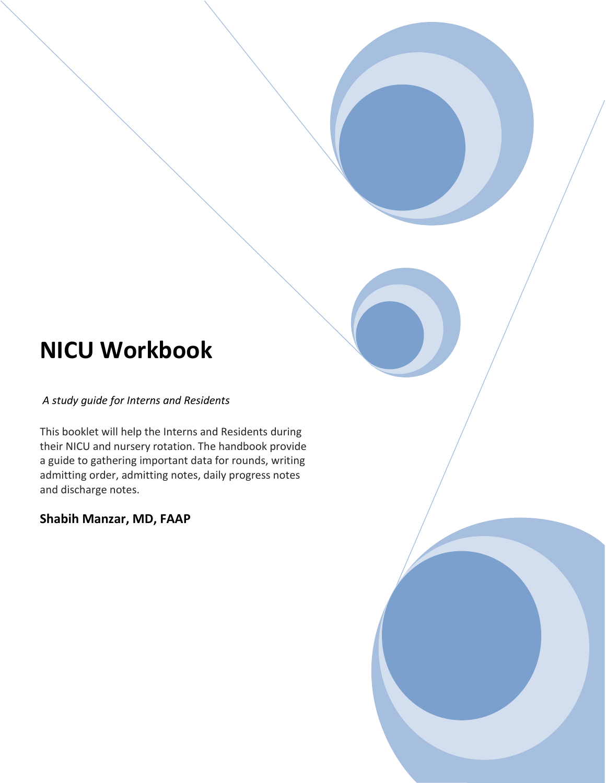# **NICU Workbook**

*A study guide for Interns and Residents*

This booklet will help the Interns and Residents during their NICU and nursery rotation. The handbook provide a guide to gathering important data for rounds, writing admitting order, admitting notes, daily progress notes and discharge notes.

#### **Shabih Manzar, MD, FAAP**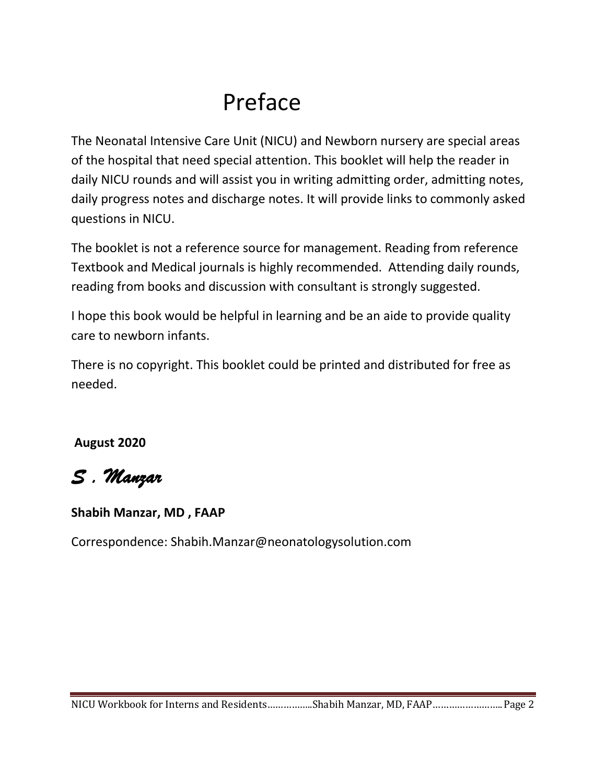# Preface

The Neonatal Intensive Care Unit (NICU) and Newborn nursery are special areas of the hospital that need special attention. This booklet will help the reader in daily NICU rounds and will assist you in writing admitting order, admitting notes, daily progress notes and discharge notes. It will provide links to commonly asked questions in NICU.

The booklet is not a reference source for management. Reading from reference Textbook and Medical journals is highly recommended. Attending daily rounds, reading from books and discussion with consultant is strongly suggested.

I hope this book would be helpful in learning and be an aide to provide quality care to newborn infants.

There is no copyright. This booklet could be printed and distributed for free as needed.

**August 2020**

# *S . Manzar*

#### **Shabih Manzar, MD , FAAP**

Correspondence: Shabih.Manzar@neonatologysolution.com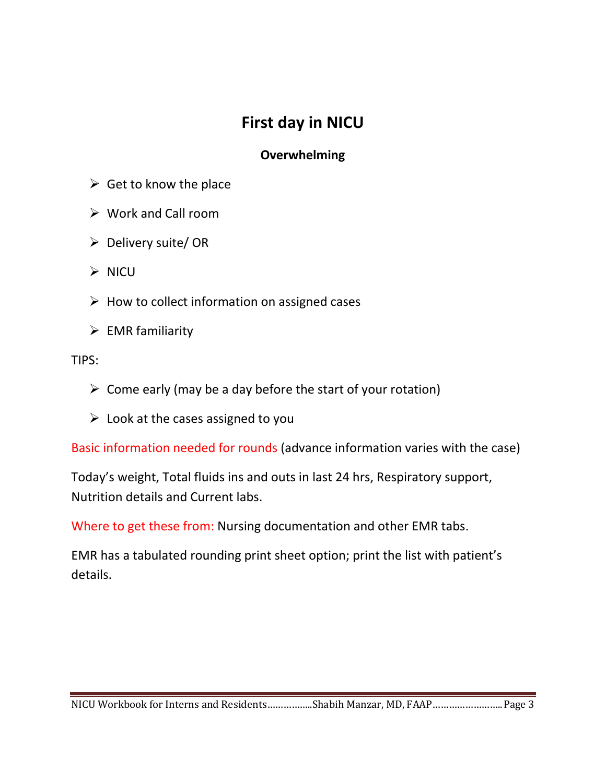### **First day in NICU**

#### **Overwhelming**

- $\triangleright$  Get to know the place
- $\triangleright$  Work and Call room
- $\triangleright$  Delivery suite/OR
- $\triangleright$  NICU
- $\triangleright$  How to collect information on assigned cases
- $\triangleright$  EMR familiarity

#### TIPS:

- $\triangleright$  Come early (may be a day before the start of your rotation)
- $\triangleright$  Look at the cases assigned to you

Basic information needed for rounds (advance information varies with the case)

Today's weight, Total fluids ins and outs in last 24 hrs, Respiratory support, Nutrition details and Current labs.

Where to get these from: Nursing documentation and other EMR tabs.

EMR has a tabulated rounding print sheet option; print the list with patient's details.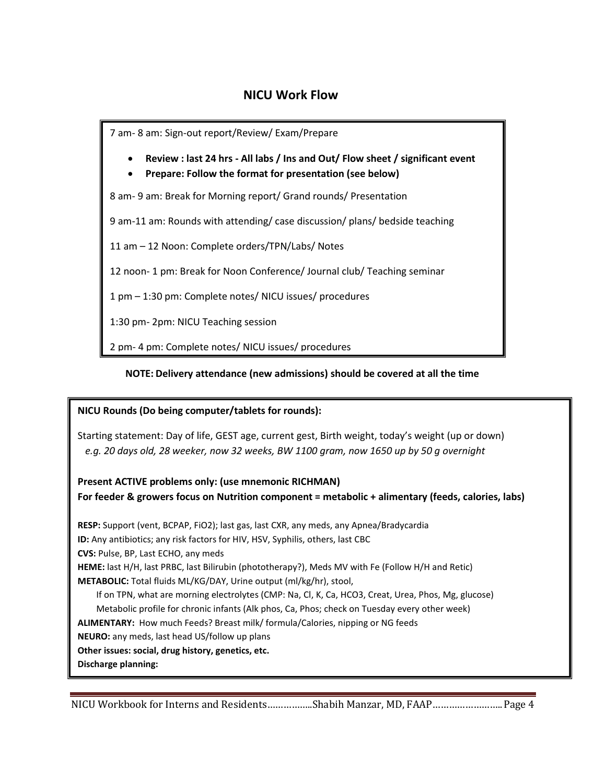#### **NICU Work Flow**

7 am- 8 am: Sign-out report/Review/ Exam/Prepare

- **Review : last 24 hrs - All labs / Ins and Out/ Flow sheet / significant event**
- **Prepare: Follow the format for presentation (see below)**

8 am- 9 am: Break for Morning report/ Grand rounds/ Presentation

9 am-11 am: Rounds with attending/ case discussion/ plans/ bedside teaching

11 am – 12 Noon: Complete orders/TPN/Labs/ Notes

12 noon- 1 pm: Break for Noon Conference/ Journal club/ Teaching seminar

1 pm – 1:30 pm: Complete notes/ NICU issues/ procedures

1:30 pm- 2pm: NICU Teaching session

2 pm- 4 pm: Complete notes/ NICU issues/ procedures

#### **NOTE: Delivery attendance (new admissions) should be covered at all the time**

#### **NICU Rounds (Do being computer/tablets for rounds):**

Starting statement: Day of life, GEST age, current gest, Birth weight, today's weight (up or down)  *e.g. 20 days old, 28 weeker, now 32 weeks, BW 1100 gram, now 1650 up by 50 g overnight*

**Present ACTIVE problems only: (use mnemonic RICHMAN) For feeder & growers focus on Nutrition component = metabolic + alimentary (feeds, calories, labs)**

**RESP:** Support (vent, BCPAP, FiO2); last gas, last CXR, any meds, any Apnea/Bradycardia **ID:** Any antibiotics; any risk factors for HIV, HSV, Syphilis, others, last CBC **CVS:** Pulse, BP, Last ECHO, any meds **HEME:** last H/H, last PRBC, last Bilirubin (phototherapy?), Meds MV with Fe (Follow H/H and Retic) **METABOLIC:** Total fluids ML/KG/DAY, Urine output (ml/kg/hr), stool, If on TPN, what are morning electrolytes (CMP: Na, Cl, K, Ca, HCO3, Creat, Urea, Phos, Mg, glucose) Metabolic profile for chronic infants (Alk phos, Ca, Phos; check on Tuesday every other week) **ALIMENTARY:** How much Feeds? Breast milk/ formula/Calories, nipping or NG feeds **NEURO:** any meds, last head US/follow up plans **Other issues: social, drug history, genetics, etc. Discharge planning:**   $S_{\rm eff}$  is the screen,  $R_{\rm eff}$  screen,  $R_{\rm eff}$  screen,  $R_{\rm eff}$  screen,  $\Gamma_{\rm eff}$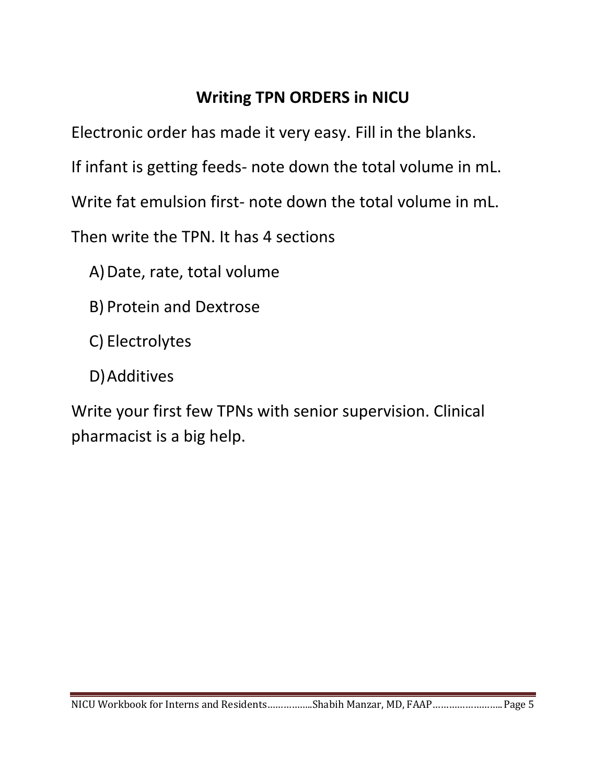# **Writing TPN ORDERS in NICU**

Electronic order has made it very easy. Fill in the blanks.

If infant is getting feeds- note down the total volume in mL.

Write fat emulsion first- note down the total volume in mL.

Then write the TPN. It has 4 sections

A)Date, rate, total volume

B) Protein and Dextrose

C) Electrolytes

D)Additives

Write your first few TPNs with senior supervision. Clinical pharmacist is a big help.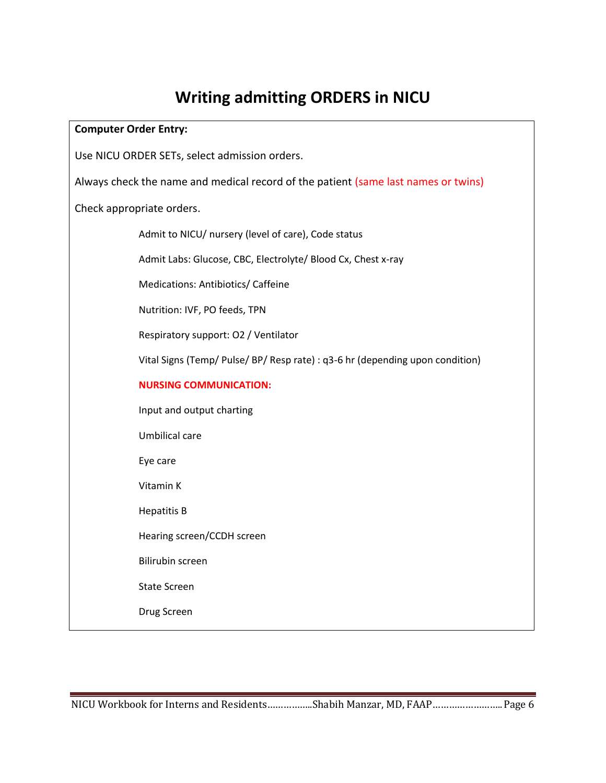# **Writing admitting ORDERS in NICU**

| <b>Computer Order Entry:</b>                                                       |  |  |  |  |  |  |  |
|------------------------------------------------------------------------------------|--|--|--|--|--|--|--|
| Use NICU ORDER SETs, select admission orders.                                      |  |  |  |  |  |  |  |
| Always check the name and medical record of the patient (same last names or twins) |  |  |  |  |  |  |  |
| Check appropriate orders.                                                          |  |  |  |  |  |  |  |
| Admit to NICU/ nursery (level of care), Code status                                |  |  |  |  |  |  |  |
| Admit Labs: Glucose, CBC, Electrolyte/ Blood Cx, Chest x-ray                       |  |  |  |  |  |  |  |
| Medications: Antibiotics/ Caffeine                                                 |  |  |  |  |  |  |  |
| Nutrition: IVF, PO feeds, TPN                                                      |  |  |  |  |  |  |  |
| Respiratory support: O2 / Ventilator                                               |  |  |  |  |  |  |  |
| Vital Signs (Temp/ Pulse/ BP/ Resp rate) : q3-6 hr (depending upon condition)      |  |  |  |  |  |  |  |
| <b>NURSING COMMUNICATION:</b>                                                      |  |  |  |  |  |  |  |
| Input and output charting                                                          |  |  |  |  |  |  |  |
| Umbilical care                                                                     |  |  |  |  |  |  |  |
| Eye care                                                                           |  |  |  |  |  |  |  |
| Vitamin K                                                                          |  |  |  |  |  |  |  |
| <b>Hepatitis B</b>                                                                 |  |  |  |  |  |  |  |
| Hearing screen/CCDH screen                                                         |  |  |  |  |  |  |  |
| <b>Bilirubin screen</b>                                                            |  |  |  |  |  |  |  |
| <b>State Screen</b>                                                                |  |  |  |  |  |  |  |
| Drug Screen                                                                        |  |  |  |  |  |  |  |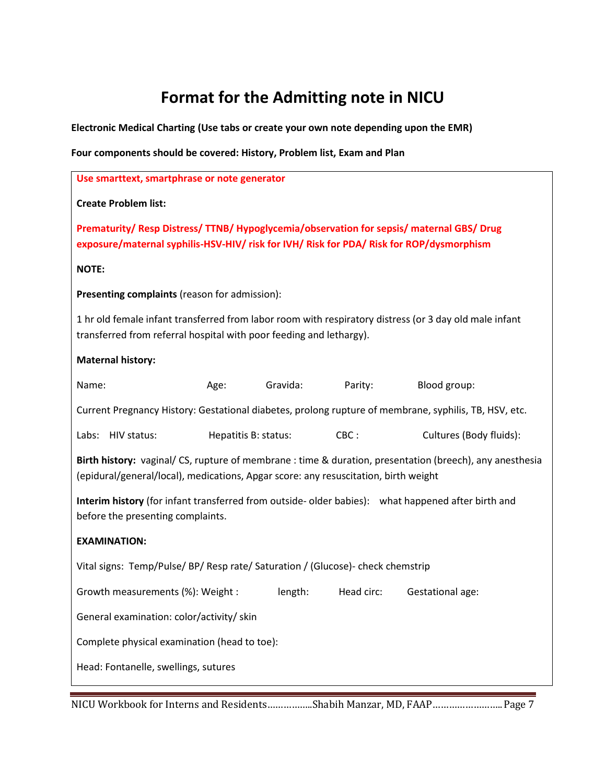### **Format for the Admitting note in NICU**

**Electronic Medical Charting (Use tabs or create your own note depending upon the EMR)**

**Four components should be covered: History, Problem list, Exam and Plan**

| Use smarttext, smartphrase or note generator                                                                                                                                          |                      |          |         |                                                                                                          |  |  |  |  |
|---------------------------------------------------------------------------------------------------------------------------------------------------------------------------------------|----------------------|----------|---------|----------------------------------------------------------------------------------------------------------|--|--|--|--|
| <b>Create Problem list:</b>                                                                                                                                                           |                      |          |         |                                                                                                          |  |  |  |  |
| Prematurity/ Resp Distress/ TTNB/ Hypoglycemia/observation for sepsis/ maternal GBS/ Drug<br>exposure/maternal syphilis-HSV-HIV/ risk for IVH/ Risk for PDA/ Risk for ROP/dysmorphism |                      |          |         |                                                                                                          |  |  |  |  |
| <b>NOTE:</b>                                                                                                                                                                          |                      |          |         |                                                                                                          |  |  |  |  |
| Presenting complaints (reason for admission):                                                                                                                                         |                      |          |         |                                                                                                          |  |  |  |  |
| transferred from referral hospital with poor feeding and lethargy).                                                                                                                   |                      |          |         | 1 hr old female infant transferred from labor room with respiratory distress (or 3 day old male infant   |  |  |  |  |
| <b>Maternal history:</b>                                                                                                                                                              |                      |          |         |                                                                                                          |  |  |  |  |
| Name:                                                                                                                                                                                 | Age:                 | Gravida: | Parity: | Blood group:                                                                                             |  |  |  |  |
|                                                                                                                                                                                       |                      |          |         | Current Pregnancy History: Gestational diabetes, prolong rupture of membrane, syphilis, TB, HSV, etc.    |  |  |  |  |
| Labs: HIV status:                                                                                                                                                                     | Hepatitis B: status: |          | CBC:    | Cultures (Body fluids):                                                                                  |  |  |  |  |
| (epidural/general/local), medications, Apgar score: any resuscitation, birth weight                                                                                                   |                      |          |         | Birth history: vaginal/ CS, rupture of membrane : time & duration, presentation (breech), any anesthesia |  |  |  |  |
| Interim history (for infant transferred from outside-older babies): what happened after birth and<br>before the presenting complaints.                                                |                      |          |         |                                                                                                          |  |  |  |  |
| <b>EXAMINATION:</b>                                                                                                                                                                   |                      |          |         |                                                                                                          |  |  |  |  |
| Vital signs: Temp/Pulse/ BP/ Resp rate/ Saturation / (Glucose) - check chemstrip                                                                                                      |                      |          |         |                                                                                                          |  |  |  |  |
| Growth measurements (%): Weight :<br>length:<br>Head circ:<br>Gestational age:                                                                                                        |                      |          |         |                                                                                                          |  |  |  |  |
| General examination: color/activity/ skin                                                                                                                                             |                      |          |         |                                                                                                          |  |  |  |  |
| Complete physical examination (head to toe):                                                                                                                                          |                      |          |         |                                                                                                          |  |  |  |  |
| Head: Fontanelle, swellings, sutures                                                                                                                                                  |                      |          |         |                                                                                                          |  |  |  |  |
|                                                                                                                                                                                       |                      |          |         |                                                                                                          |  |  |  |  |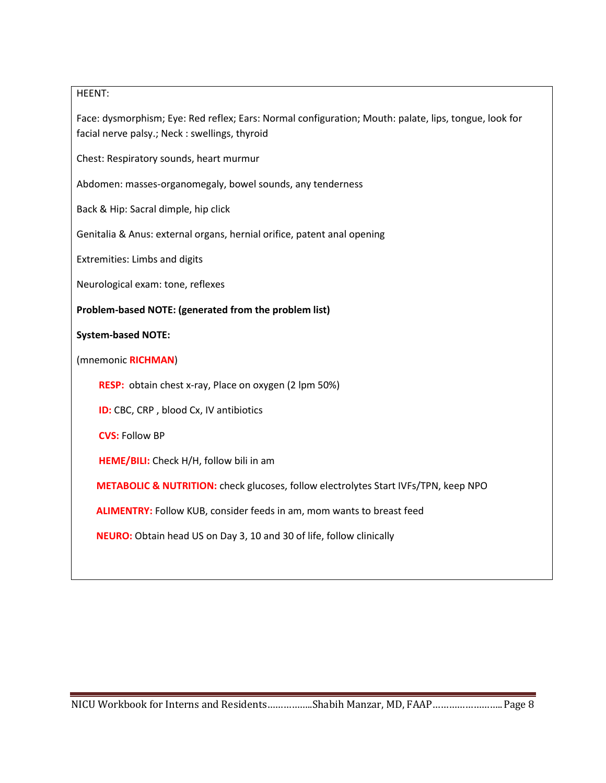#### HEENT:

Face: dysmorphism; Eye: Red reflex; Ears: Normal configuration; Mouth: palate, lips, tongue, look for facial nerve palsy.; Neck : swellings, thyroid

Chest: Respiratory sounds, heart murmur

Abdomen: masses-organomegaly, bowel sounds, any tenderness

Back & Hip: Sacral dimple, hip click

Genitalia & Anus: external organs, hernial orifice, patent anal opening

Extremities: Limbs and digits

Neurological exam: tone, reflexes

**Problem-based NOTE: (generated from the problem list)**

#### **System-based NOTE:**

(mnemonic **RICHMAN**)

**RESP:** obtain chest x-ray, Place on oxygen (2 lpm 50%)

 **ID:** CBC, CRP , blood Cx, IV antibiotics

**CVS:** Follow BP

**HEME/BILI:** Check H/H, follow bili in am

**METABOLIC & NUTRITION:** check glucoses, follow electrolytes Start IVFs/TPN, keep NPO

 **ALIMENTRY:** Follow KUB, consider feeds in am, mom wants to breast feed

 **NEURO:** Obtain head US on Day 3, 10 and 30 of life, follow clinically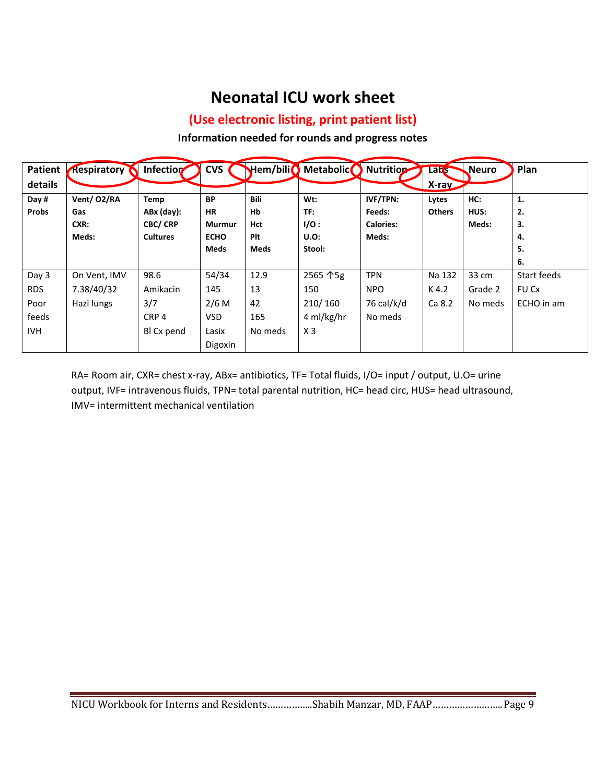### **Neonatal ICU work sheet**

#### **(Use electronic listing, print patient list)**

#### **Information needed for rounds and progress notes**

| <b>Patient</b> | <b>Respiratory</b> | Infection        | <b>CVS</b>  | Hem/bili <sup>0</sup> | <b>Metabolic</b> | <b>Nutrition</b> | <b>Lats</b>   | <b>Neuro</b> | Plan         |
|----------------|--------------------|------------------|-------------|-----------------------|------------------|------------------|---------------|--------------|--------------|
| details        |                    |                  |             |                       |                  |                  | X-ray         |              |              |
| Day #          | Vent/ O2/RA        | Temp             | <b>BP</b>   | Bili                  | Wt:              | <b>IVF/TPN:</b>  | Lytes         | HC:          | 1.           |
| <b>Probs</b>   | Gas                | $ABx$ (day):     | <b>HR</b>   | Hb                    | TF:              | Feeds:           | <b>Others</b> | HUS:         | 2.           |
|                | CXR:               | <b>CBC/ CRP</b>  | Murmur      | Hct                   | I/O:             | <b>Calories:</b> |               | Meds:        | 3.           |
|                | Meds:              | <b>Cultures</b>  | <b>ECHO</b> | Plt                   | <b>U.O:</b>      | Meds:            |               |              | 4.           |
|                |                    |                  | Meds        | Meds                  | Stool:           |                  |               |              | 5.           |
|                |                    |                  |             |                       |                  |                  |               |              | 6.           |
| Day 3          | On Vent, IMV       | 98.6             | 54/34       | 12.9                  | 2565 个5g         | <b>TPN</b>       | Na 132        | 33 cm        | Start feeds  |
| <b>RDS</b>     | 7.38/40/32         | Amikacin         | 145         | 13                    | 150              | <b>NPO</b>       | K4.2          | Grade 2      | <b>FU Cx</b> |
| Poor           | Hazi lungs         | 3/7              | $2/6$ M     | 42                    | 210/160          | 76 cal/k/d       | Ca 8.2        | No meds      | ECHO in am   |
| feeds          |                    | CRP <sub>4</sub> | <b>VSD</b>  | 165                   | 4 ml/kg/hr       | No meds          |               |              |              |
| <b>IVH</b>     |                    | BI Cx pend       | Lasix       | No meds               | X <sub>3</sub>   |                  |               |              |              |
|                |                    |                  | Digoxin     |                       |                  |                  |               |              |              |

RA= Room air, CXR= chest x-ray, ABx= antibiotics, TF= Total fluids, I/O= input / output, U.O= urine output, IVF= intravenous fluids, TPN= total parental nutrition, HC= head circ, HUS= head ultrasound, IMV= intermittent mechanical ventilation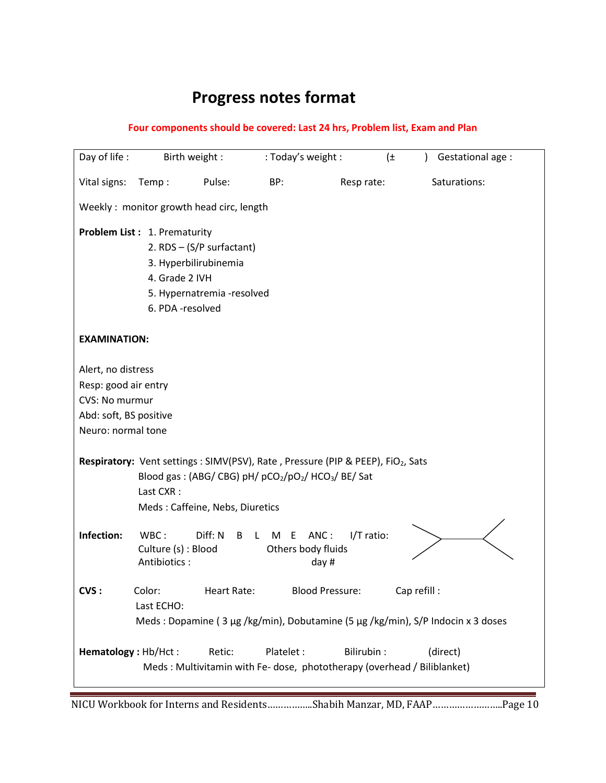# **Progress notes format**

#### **Four components should be covered: Last 24 hrs, Problem list, Exam and Plan**

| Day of life:                                                                    |                     | Birth weight :                  | : Today's weight :       |                                                                                          | $(\pm)$      | Gestational age :<br>$\mathcal{L}$ |  |  |
|---------------------------------------------------------------------------------|---------------------|---------------------------------|--------------------------|------------------------------------------------------------------------------------------|--------------|------------------------------------|--|--|
| Vital signs:                                                                    | Temp:               | Pulse:                          | BP:                      | Resp rate:                                                                               |              | Saturations:                       |  |  |
| Weekly: monitor growth head circ, length                                        |                     |                                 |                          |                                                                                          |              |                                    |  |  |
| Problem List: 1. Prematurity                                                    |                     |                                 |                          |                                                                                          |              |                                    |  |  |
|                                                                                 |                     | 2. RDS - (S/P surfactant)       |                          |                                                                                          |              |                                    |  |  |
|                                                                                 |                     | 3. Hyperbilirubinemia           |                          |                                                                                          |              |                                    |  |  |
|                                                                                 | 4. Grade 2 IVH      |                                 |                          |                                                                                          |              |                                    |  |  |
|                                                                                 |                     | 5. Hypernatremia -resolved      |                          |                                                                                          |              |                                    |  |  |
|                                                                                 | 6. PDA -resolved    |                                 |                          |                                                                                          |              |                                    |  |  |
| <b>EXAMINATION:</b>                                                             |                     |                                 |                          |                                                                                          |              |                                    |  |  |
|                                                                                 |                     |                                 |                          |                                                                                          |              |                                    |  |  |
| Alert, no distress                                                              |                     |                                 |                          |                                                                                          |              |                                    |  |  |
| Resp: good air entry                                                            |                     |                                 |                          |                                                                                          |              |                                    |  |  |
| CVS: No murmur                                                                  |                     |                                 |                          |                                                                                          |              |                                    |  |  |
| Abd: soft, BS positive                                                          |                     |                                 |                          |                                                                                          |              |                                    |  |  |
| Neuro: normal tone                                                              |                     |                                 |                          |                                                                                          |              |                                    |  |  |
|                                                                                 |                     |                                 |                          |                                                                                          |              |                                    |  |  |
|                                                                                 |                     |                                 |                          | Respiratory: Vent settings : SIMV(PSV), Rate, Pressure (PIP & PEEP), FiO2, Sats          |              |                                    |  |  |
|                                                                                 |                     |                                 |                          | Blood gas: (ABG/ CBG) pH/ pCO <sub>2</sub> /pO <sub>2</sub> / HCO <sub>3</sub> / BE/ Sat |              |                                    |  |  |
|                                                                                 | Last CXR:           |                                 |                          |                                                                                          |              |                                    |  |  |
|                                                                                 |                     | Meds: Caffeine, Nebs, Diuretics |                          |                                                                                          |              |                                    |  |  |
| Infection:                                                                      | WBC:                | Diff: N                         | M<br>E                   | ANC:<br>I/T ratio:                                                                       |              |                                    |  |  |
|                                                                                 | Culture (s) : Blood | B                               | L.<br>Others body fluids |                                                                                          |              |                                    |  |  |
|                                                                                 | Antibiotics:        |                                 |                          | day $#$                                                                                  |              |                                    |  |  |
|                                                                                 |                     |                                 |                          |                                                                                          |              |                                    |  |  |
| CVS:                                                                            | Color:              | Heart Rate:                     |                          | <b>Blood Pressure:</b>                                                                   | Cap refill : |                                    |  |  |
|                                                                                 | Last ECHO:          |                                 |                          |                                                                                          |              |                                    |  |  |
| Meds: Dopamine (3 µg /kg/min), Dobutamine (5 µg /kg/min), S/P Indocin x 3 doses |                     |                                 |                          |                                                                                          |              |                                    |  |  |
|                                                                                 |                     |                                 |                          |                                                                                          |              |                                    |  |  |
| Hematology: Hb/Hct:                                                             |                     | Retic:                          | Platelet :               | Bilirubin:                                                                               |              | (direct)                           |  |  |
|                                                                                 |                     |                                 |                          | Meds: Multivitamin with Fe- dose, phototherapy (overhead / Biliblanket)                  |              |                                    |  |  |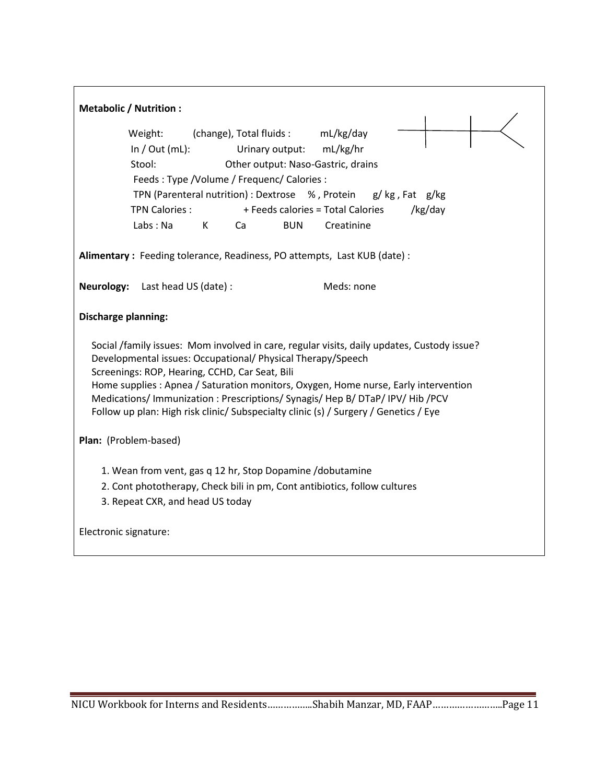|                                                                                                                                                                                                                                                                                                    | <b>Metabolic / Nutrition:</b>                                                                                                                                          |  |  |  |  |  |  |  |
|----------------------------------------------------------------------------------------------------------------------------------------------------------------------------------------------------------------------------------------------------------------------------------------------------|------------------------------------------------------------------------------------------------------------------------------------------------------------------------|--|--|--|--|--|--|--|
|                                                                                                                                                                                                                                                                                                    | (change), Total fluids : mL/kg/day<br>Weight:                                                                                                                          |  |  |  |  |  |  |  |
|                                                                                                                                                                                                                                                                                                    | In $/$ Out (mL):<br>mL/kg/hr<br>Urinary output:                                                                                                                        |  |  |  |  |  |  |  |
|                                                                                                                                                                                                                                                                                                    | Stool:<br>Other output: Naso-Gastric, drains                                                                                                                           |  |  |  |  |  |  |  |
|                                                                                                                                                                                                                                                                                                    | Feeds: Type / Volume / Frequenc/ Calories:                                                                                                                             |  |  |  |  |  |  |  |
| TPN (Parenteral nutrition) : Dextrose %, Protein g/ kg, Fat g/kg                                                                                                                                                                                                                                   |                                                                                                                                                                        |  |  |  |  |  |  |  |
|                                                                                                                                                                                                                                                                                                    | + Feeds calories = Total Calories<br>/kg/day<br><b>TPN Calories:</b>                                                                                                   |  |  |  |  |  |  |  |
|                                                                                                                                                                                                                                                                                                    | Labs: Na<br>K<br><b>BUN</b><br>Creatinine<br>Ca                                                                                                                        |  |  |  |  |  |  |  |
|                                                                                                                                                                                                                                                                                                    | Alimentary : Feeding tolerance, Readiness, PO attempts, Last KUB (date) :                                                                                              |  |  |  |  |  |  |  |
|                                                                                                                                                                                                                                                                                                    | Meds: none<br><b>Neurology:</b> Last head US (date):                                                                                                                   |  |  |  |  |  |  |  |
| <b>Discharge planning:</b>                                                                                                                                                                                                                                                                         |                                                                                                                                                                        |  |  |  |  |  |  |  |
| Social /family issues: Mom involved in care, regular visits, daily updates, Custody issue?<br>Developmental issues: Occupational/ Physical Therapy/Speech<br>Screenings: ROP, Hearing, CCHD, Car Seat, Bili<br>Home supplies : Apnea / Saturation monitors, Oxygen, Home nurse, Early intervention |                                                                                                                                                                        |  |  |  |  |  |  |  |
|                                                                                                                                                                                                                                                                                                    | Medications/ Immunization : Prescriptions/ Synagis/ Hep B/ DTaP/ IPV/ Hib /PCV<br>Follow up plan: High risk clinic/ Subspecialty clinic (s) / Surgery / Genetics / Eye |  |  |  |  |  |  |  |
|                                                                                                                                                                                                                                                                                                    | Plan: (Problem-based)                                                                                                                                                  |  |  |  |  |  |  |  |
|                                                                                                                                                                                                                                                                                                    | 1. Wean from vent, gas q 12 hr, Stop Dopamine /dobutamine                                                                                                              |  |  |  |  |  |  |  |
| 2. Cont phototherapy, Check bili in pm, Cont antibiotics, follow cultures                                                                                                                                                                                                                          |                                                                                                                                                                        |  |  |  |  |  |  |  |
|                                                                                                                                                                                                                                                                                                    | 3. Repeat CXR, and head US today                                                                                                                                       |  |  |  |  |  |  |  |
| Electronic signature:                                                                                                                                                                                                                                                                              |                                                                                                                                                                        |  |  |  |  |  |  |  |
|                                                                                                                                                                                                                                                                                                    |                                                                                                                                                                        |  |  |  |  |  |  |  |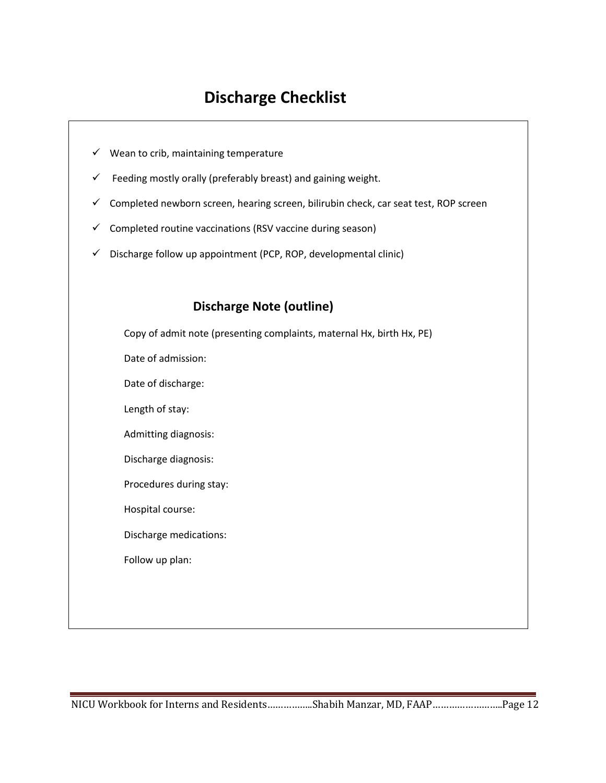### **Discharge Checklist**

- $\checkmark$  Wean to crib, maintaining temperature
- $\checkmark$  Feeding mostly orally (preferably breast) and gaining weight.
- $\checkmark$  Completed newborn screen, hearing screen, bilirubin check, car seat test, ROP screen
- $\checkmark$  Completed routine vaccinations (RSV vaccine during season)
- $\checkmark$  Discharge follow up appointment (PCP, ROP, developmental clinic)

#### **Discharge Note (outline)**

Copy of admit note (presenting complaints, maternal Hx, birth Hx, PE) Date of admission:

Date of discharge:

Length of stay:

Admitting diagnosis:

Discharge diagnosis:

Procedures during stay:

Hospital course:

Discharge medications:

Follow up plan: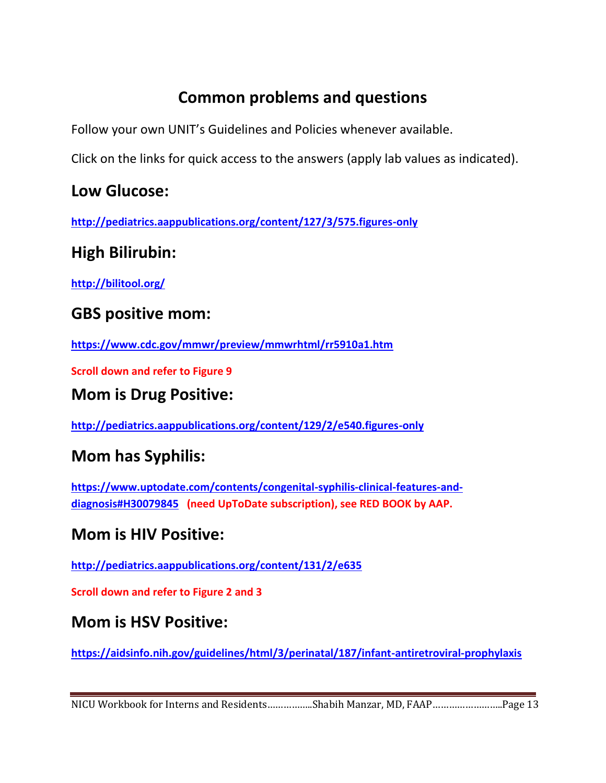## **Common problems and questions**

Follow your own UNIT's Guidelines and Policies whenever available.

Click on the links for quick access to the answers (apply lab values as indicated).

### **Low Glucose:**

**<http://pediatrics.aappublications.org/content/127/3/575.figures-only>**

### **High Bilirubin:**

**<http://bilitool.org/>**

### **GBS positive mom:**

**<https://www.cdc.gov/mmwr/preview/mmwrhtml/rr5910a1.htm>**

**Scroll down and refer to Figure 9**

### **Mom is Drug Positive:**

**<http://pediatrics.aappublications.org/content/129/2/e540.figures-only>**

### **Mom has Syphilis:**

**[https://www.uptodate.com/contents/congenital-syphilis-clinical-features-and](https://www.uptodate.com/contents/congenital-syphilis-clinical-features-and-diagnosis#H30079845)[diagnosis#H30079845](https://www.uptodate.com/contents/congenital-syphilis-clinical-features-and-diagnosis#H30079845) (need UpToDate subscription), see RED BOOK by AAP.**

### **Mom is HIV Positive:**

**<http://pediatrics.aappublications.org/content/131/2/e635>**

**Scroll down and refer to Figure 2 and 3**

#### **Mom is HSV Positive:**

**<https://aidsinfo.nih.gov/guidelines/html/3/perinatal/187/infant-antiretroviral-prophylaxis>**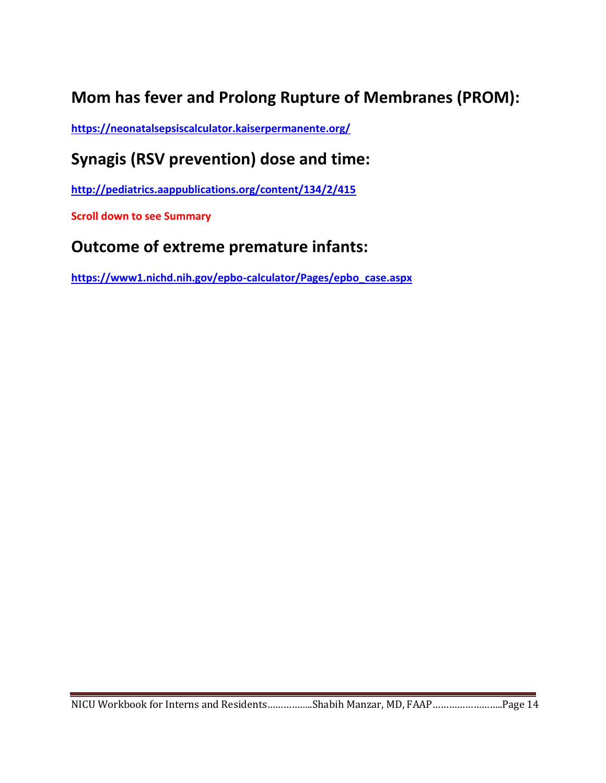## **Mom has fever and Prolong Rupture of Membranes (PROM):**

**<https://neonatalsepsiscalculator.kaiserpermanente.org/>**

## **Synagis (RSV prevention) dose and time:**

**<http://pediatrics.aappublications.org/content/134/2/415>**

**Scroll down to see Summary**

### **Outcome of extreme premature infants:**

**[https://www1.nichd.nih.gov/epbo-calculator/Pages/epbo\\_case.aspx](https://www1.nichd.nih.gov/epbo-calculator/Pages/epbo_case.aspx)**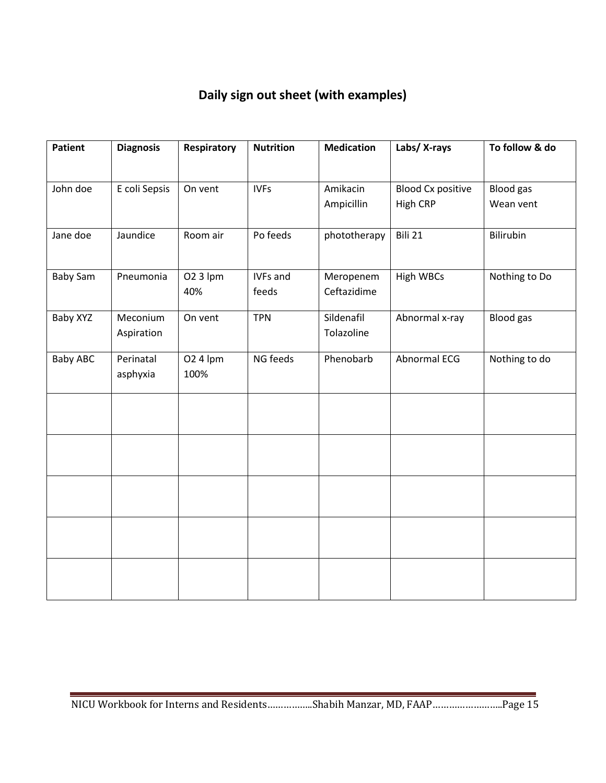#### **Daily sign out sheet (with examples)**

| <b>Patient</b>  | <b>Diagnosis</b>       | <b>Respiratory</b> | <b>Nutrition</b>  | <b>Medication</b>        | Labs/ X-rays                         | To follow & do                |
|-----------------|------------------------|--------------------|-------------------|--------------------------|--------------------------------------|-------------------------------|
| John doe        | E coli Sepsis          | On vent            | <b>IVFs</b>       | Amikacin<br>Ampicillin   | <b>Blood Cx positive</b><br>High CRP | <b>Blood</b> gas<br>Wean vent |
| Jane doe        | Jaundice               | Room air           | Po feeds          | phototherapy             | Bili 21                              | <b>Bilirubin</b>              |
| <b>Baby Sam</b> | Pneumonia              | 02 3 lpm<br>40%    | IVFs and<br>feeds | Meropenem<br>Ceftazidime | <b>High WBCs</b>                     | Nothing to Do                 |
| Baby XYZ        | Meconium<br>Aspiration | On vent            | <b>TPN</b>        | Sildenafil<br>Tolazoline | Abnormal x-ray                       | <b>Blood</b> gas              |
| <b>Baby ABC</b> | Perinatal<br>asphyxia  | 02 4 lpm<br>100%   | NG feeds          | Phenobarb                | Abnormal ECG                         | Nothing to do                 |
|                 |                        |                    |                   |                          |                                      |                               |
|                 |                        |                    |                   |                          |                                      |                               |
|                 |                        |                    |                   |                          |                                      |                               |
|                 |                        |                    |                   |                          |                                      |                               |
|                 |                        |                    |                   |                          |                                      |                               |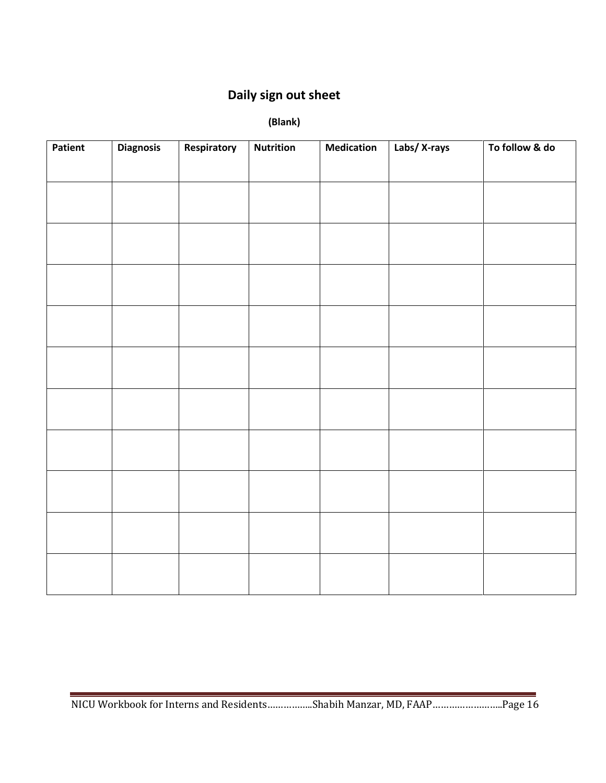#### **Daily sign out sheet**

 **(Blank)**

| Patient | <b>Diagnosis</b> | Respiratory | <b>Nutrition</b> | <b>Medication</b> | Labs/ X-rays | To follow & do |
|---------|------------------|-------------|------------------|-------------------|--------------|----------------|
|         |                  |             |                  |                   |              |                |
|         |                  |             |                  |                   |              |                |
|         |                  |             |                  |                   |              |                |
|         |                  |             |                  |                   |              |                |
|         |                  |             |                  |                   |              |                |
|         |                  |             |                  |                   |              |                |
|         |                  |             |                  |                   |              |                |
|         |                  |             |                  |                   |              |                |
|         |                  |             |                  |                   |              |                |
|         |                  |             |                  |                   |              |                |
|         |                  |             |                  |                   |              |                |
|         |                  |             |                  |                   |              |                |
|         |                  |             |                  |                   |              |                |
|         |                  |             |                  |                   |              |                |
|         |                  |             |                  |                   |              |                |
|         |                  |             |                  |                   |              |                |
|         |                  |             |                  |                   |              |                |